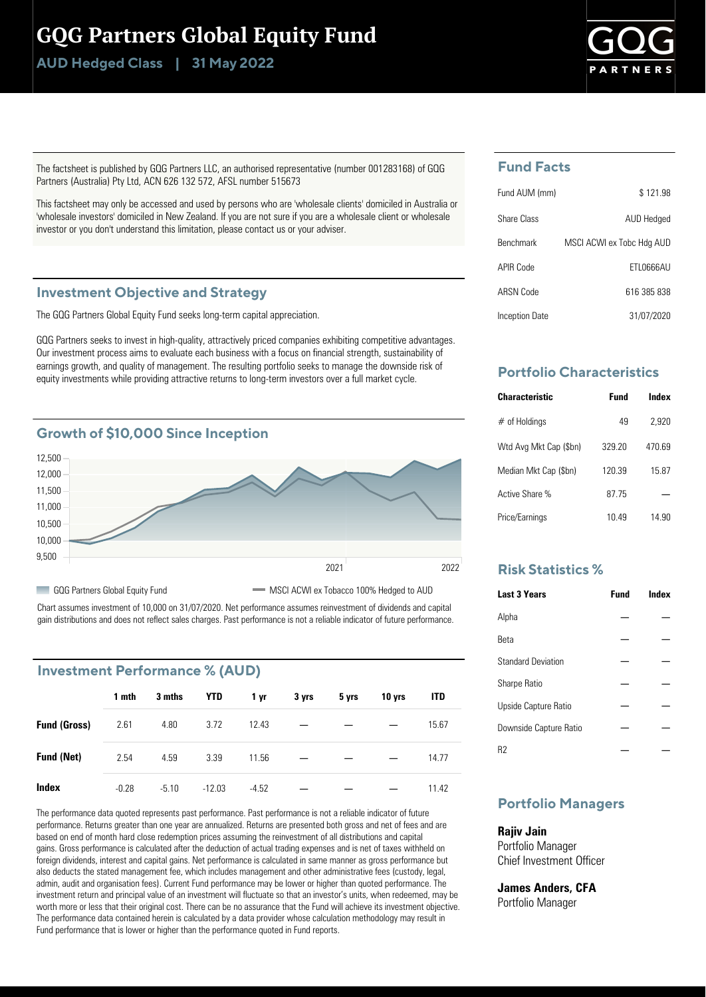## GQG Partners Global Equity Fund

**Class | AUD Hedged 31 May 2022**



The factsheet is published by GQG Partners LLC, an authorised representative (number 001283168) of GQG Partners (Australia) Pty Ltd, ACN 626 132 572, AFSL number 515673

This factsheet may only be accessed and used by persons who are 'wholesale clients' domiciled in Australia or 'wholesale investors' domiciled in New Zealand. If you are not sure if you are a wholesale client or wholesale investor or you don't understand this limitation, please contact us or your adviser.

#### **Investment Objective and Strategy**

The GQG Partners Global Equity Fund seeks long-term capital appreciation.

GQG Partners seeks to invest in high-quality, attractively priced companies exhibiting competitive advantages. Our investment process aims to evaluate each business with a focus on financial strength, sustainability of earnings growth, and quality of management. The resulting portfolio seeks to manage the downside risk of equity investments while providing attractive returns to long-term investors over a full market cycle.



Chart assumes investment of 10,000 on 31/07/2020. Net performance assumes reinvestment of dividends and capital gain distributions and does not reflect sales charges. Past performance is not a reliable indicator of future performance.

## **Investment Performance % (AUD)**

|                     | 1 mth   | 3 mths  | <b>YTD</b> | 1 yr    | 3 yrs | 5 yrs | 10 yrs | <b>ITD</b> |
|---------------------|---------|---------|------------|---------|-------|-------|--------|------------|
| <b>Fund (Gross)</b> | 2.61    | 4.80    | 3.72       | 12.43   |       |       |        | 15.67      |
| <b>Fund (Net)</b>   | 2.54    | 4.59    | 3.39       | 11.56   |       |       |        | 14.77      |
| Index               | $-0.28$ | $-5.10$ | $-12.03$   | $-4.52$ |       |       |        | 11.42      |

The performance data quoted represents past performance. Past performance is not a reliable indicator of future performance. Returns greater than one year are annualized. Returns are presented both gross and net of fees and are based on end of month hard close redemption prices assuming the reinvestment of all distributions and capital gains. Gross performance is calculated after the deduction of actual trading expenses and is net of taxes withheld on foreign dividends, interest and capital gains. Net performance is calculated in same manner as gross performance but also deducts the stated management fee, which includes management and other administrative fees (custody, legal, admin, audit and organisation fees). Current Fund performance may be lower or higher than quoted performance. The investment return and principal value of an investment will fluctuate so that an investor's units, when redeemed, may be worth more or less that their original cost. There can be no assurance that the Fund will achieve its investment objective. The performance data contained herein is calculated by a data provider whose calculation methodology may result in Fund performance that is lower or higher than the performance quoted in Fund reports.

## **Fund Facts**

| Fund AUM (mm)    | \$121.98                  |
|------------------|---------------------------|
| Share Class      | AUD Hedged                |
| <b>Benchmark</b> | MSCI ACWI ex Tobc Hdg AUD |
| APIR Code        | FTI 0666AU                |
| ARSN Code        | 616 385 838               |
| Inception Date   | 31/07/2020                |

## **Portfolio Characteristics**

| <b>Characteristic</b>  | Fund   | Index |
|------------------------|--------|-------|
| $#$ of Holdings        | 49     | 2,920 |
| Wtd Avg Mkt Cap (\$bn) | 329 20 | 47069 |
| Median Mkt Cap (\$bn)  | 120.39 | 15.87 |
| Active Share %         | 87.75  |       |
| Price/Earnings         | 10 49  | 14 90 |

## **Risk Statistics %**

| <b>Last 3 Years</b>       | <b>Fund</b> | Index |
|---------------------------|-------------|-------|
| Alpha                     |             |       |
| <b>Beta</b>               |             |       |
| <b>Standard Deviation</b> |             |       |
| <b>Sharpe Ratio</b>       |             |       |
| Upside Capture Ratio      |             |       |
| Downside Capture Ratio    |             |       |
| R2                        |             |       |

## **Portfolio Managers**

#### **Rajiv Jain**

Portfolio Manager Chief Investment Officer

## **James Anders, CFA**

Portfolio Manager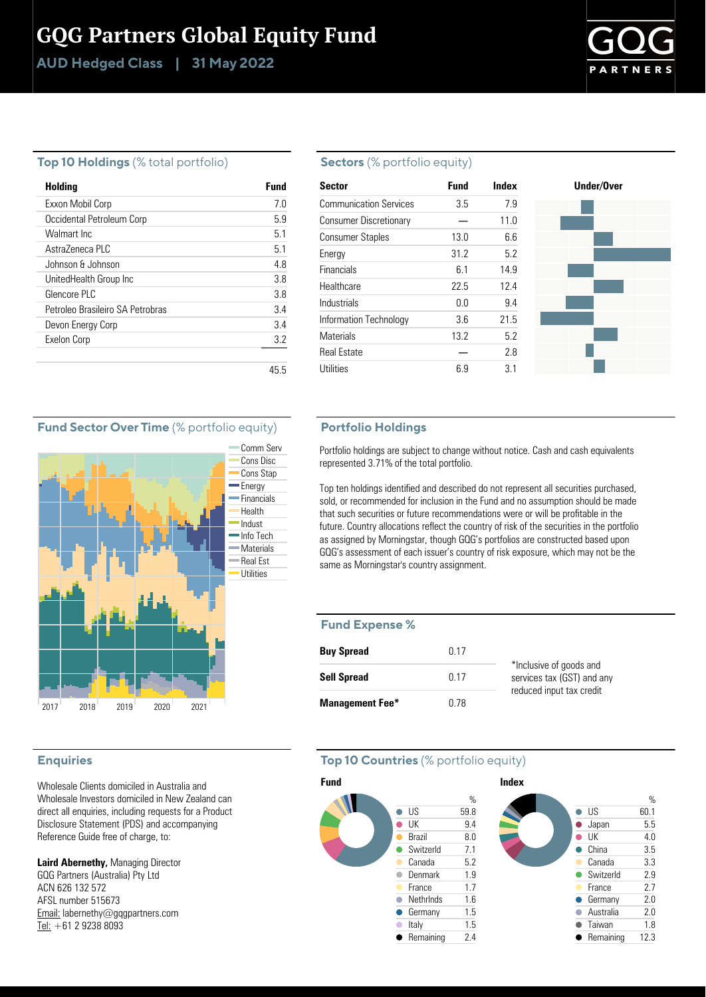# GQG Partners Global Equity Fund

**Class | AUD Hedged 31 May 2022**



#### **Top 10 Holdings** (% total portfolio)

| Holding                          | Fund |
|----------------------------------|------|
| Exxon Mobil Corp                 | 7.0  |
| Occidental Petroleum Corp        | 59   |
| Walmart Inc.                     | 51   |
| Astra7eneca PLC                  | 51   |
| Johnson & Johnson                | 48   |
| UnitedHealth Group Inc           | 3.8  |
| Glencore PLC                     | 38   |
| Petroleo Brasileiro SA Petrobras | 34   |
| Devon Energy Corp                | 34   |
| Exelon Corp                      | 32   |
|                                  |      |
|                                  | 45.5 |

#### **Sectors** (% portfolio equity)

| <b>Sector</b>                 | <b>Fund</b> | Index | Under/Over |
|-------------------------------|-------------|-------|------------|
|                               |             |       |            |
| <b>Communication Services</b> | 3.5         | 7.9   |            |
| <b>Consumer Discretionary</b> |             | 11.0  |            |
| <b>Consumer Staples</b>       | 13.0        | 6.6   |            |
| Energy                        | 31.2        | 5.2   |            |
| <b>Financials</b>             | 6.1         | 14.9  |            |
| Healthcare                    | 22.5        | 12.4  |            |
| Industrials                   | 0.0         | 9.4   |            |
| Information Technology        | 3.6         | 21.5  |            |
| <b>Materials</b>              | 13.2        | 5.2   |            |
| <b>Real Estate</b>            |             | 2.8   |            |
| Utilities                     | 6.9         | 3.1   |            |

### **Fund Sector Over Time** (% portfolio equity)



#### **Enquiries**

Wholesale Clients domiciled in Australia and Wholesale Investors domiciled in New Zealand can direct all enquiries, including requests for a Product Disclosure Statement (PDS) and accompanying Reference Guide free of charge, to:

**Laird Abernethy,** Managing Director GQG Partners (Australia) Pty Ltd ACN 626 132 572 AFSL number 515673 Email: labernethy@gqgpartners.com Tel: +61 2 9238 8093

#### **Portfolio Holdings**

Portfolio holdings are subject to change without notice. Cash and cash equivalents represented 3.71% of the total portfolio.

Top ten holdings identified and described do not represent all securities purchased, sold, or recommended for inclusion in the Fund and no assumption should be made that such securities or future recommendations were or will be profitable in the future. Country allocations reflect the country of risk of the securities in the portfolio as assigned by Morningstar, though GQG's portfolios are constructed based upon GQG's assessment of each issuer's country of risk exposure, which may not be the same as Morningstar's country assignment.

#### **Fund Expense %**

| <b>Buy Spread</b>      | በ 17 |                                                       |
|------------------------|------|-------------------------------------------------------|
| <b>Sell Spread</b>     | በ 17 | *Inclusive of goods and<br>services tax (GST) and any |
| <b>Management Fee*</b> | በ 78 | reduced input tax credit                              |

## **Top 10 Countries** (% portfolio equity)